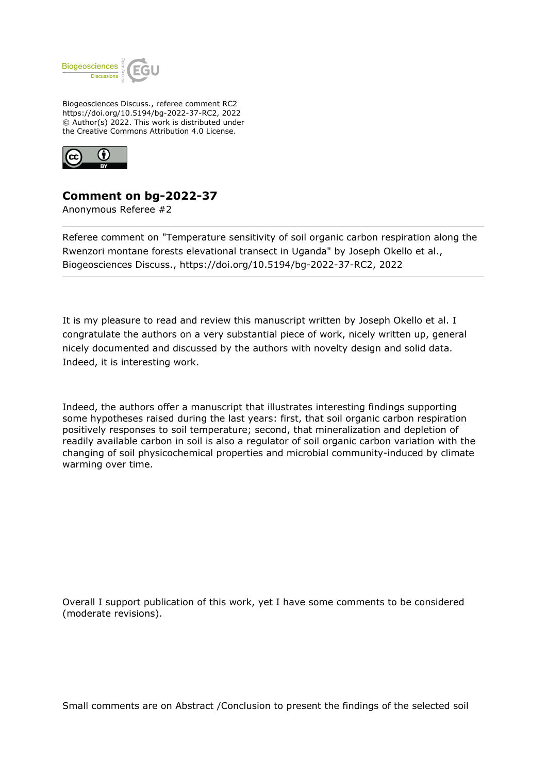

Biogeosciences Discuss., referee comment RC2 https://doi.org/10.5194/bg-2022-37-RC2, 2022 © Author(s) 2022. This work is distributed under the Creative Commons Attribution 4.0 License.



## **Comment on bg-2022-37**

Anonymous Referee #2

Referee comment on "Temperature sensitivity of soil organic carbon respiration along the Rwenzori montane forests elevational transect in Uganda" by Joseph Okello et al., Biogeosciences Discuss., https://doi.org/10.5194/bg-2022-37-RC2, 2022

It is my pleasure to read and review this manuscript written by Joseph Okello et al. I congratulate the authors on a very substantial piece of work, nicely written up, general nicely documented and discussed by the authors with novelty design and solid data. Indeed, it is interesting work.

Indeed, the authors offer a manuscript that illustrates interesting findings supporting some hypotheses raised during the last years: first, that soil organic carbon respiration positively responses to soil temperature; second, that mineralization and depletion of readily available carbon in soil is also a regulator of soil organic carbon variation with the changing of soil physicochemical properties and microbial community-induced by climate warming over time.

Overall I support publication of this work, yet I have some comments to be considered (moderate revisions).

Small comments are on Abstract /Conclusion to present the findings of the selected soil